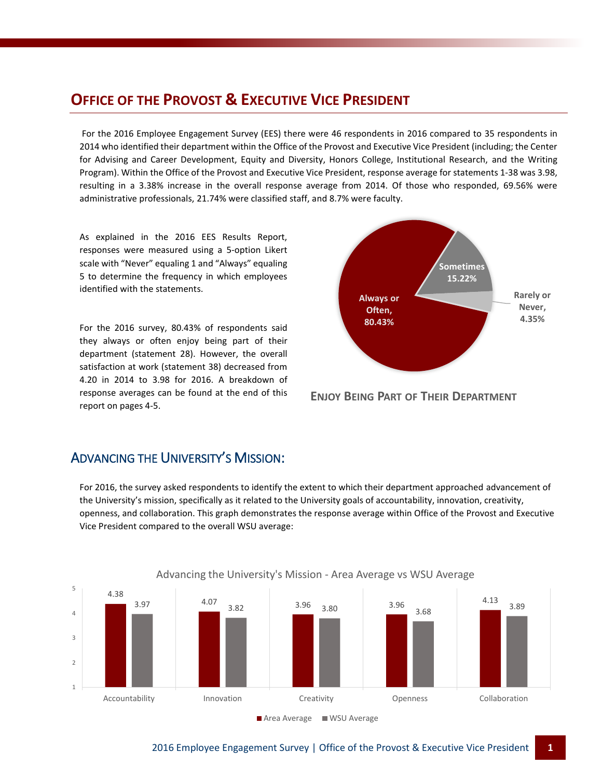### **OFFICE OF THE PROVOST & EXECUTIVE VICE PRESIDENT**

For the 2016 Employee Engagement Survey (EES) there were 46 respondents in 2016 compared to 35 respondents in 2014 who identified their department within the Office of the Provost and Executive Vice President (including; the Center for Advising and Career Development, Equity and Diversity, Honors College, Institutional Research, and the Writing Program). Within the Office of the Provost and Executive Vice President, response average for statements 1-38 was 3.98, resulting in a 3.38% increase in the overall response average from 2014. Of those who responded, 69.56% were administrative professionals, 21.74% were classified staff, and 8.7% were faculty.

As explained in the 2016 EES Results Report, responses were measured using a 5-option Likert scale with "Never" equaling 1 and "Always" equaling 5 to determine the frequency in which employees identified with the statements.

For the 2016 survey, 80.43% of respondents said they always or often enjoy being part of their department (statement 28). However, the overall satisfaction at work (statement 38) decreased from 4.20 in 2014 to 3.98 for 2016. A breakdown of response averages can be found at the end of this report on pages 4-5.



**ENJOY BEING PART OF THEIR DEPARTMENT**

#### ADVANCING THE UNIVERSITY'S MISSION:

For 2016, the survey asked respondents to identify the extent to which their department approached advancement of the University's mission, specifically as it related to the University goals of accountability, innovation, creativity, openness, and collaboration. This graph demonstrates the response average within Office of the Provost and Executive Vice President compared to the overall WSU average:



#### Advancing the University's Mission - Area Average vs WSU Average

l,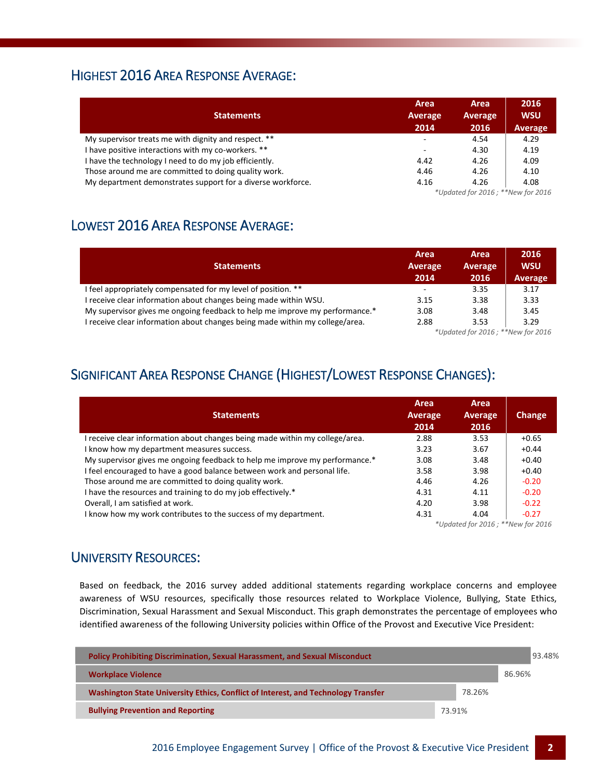#### HIGHEST 2016 AREA RESPONSE AVERAGE:

| <b>Statements</b>                                           | Area<br>Average<br>2014 | Area<br>Average<br>2016           | 2016<br><b>WSU</b><br>Average |  |  |  |
|-------------------------------------------------------------|-------------------------|-----------------------------------|-------------------------------|--|--|--|
| My supervisor treats me with dignity and respect. **        | ۰                       | 4.54                              | 4.29                          |  |  |  |
| I have positive interactions with my co-workers. **         | ۰                       | 4.30                              | 4.19                          |  |  |  |
| I have the technology I need to do my job efficiently.      | 4.42                    | 4.26                              | 4.09                          |  |  |  |
| Those around me are committed to doing quality work.        | 4.46                    | 4.26                              | 4.10                          |  |  |  |
| My department demonstrates support for a diverse workforce. | 4.16                    | 4.26                              | 4.08                          |  |  |  |
|                                                             |                         | *Updated for 2016; **New for 2016 |                               |  |  |  |

#### LOWEST 2016 AREA RESPONSE AVERAGE:

| <b>Statements</b>                                                            | Area<br>Average<br>2014  | Area<br>Average<br>2016           | 2016<br><b>WSU</b><br>Average |  |  |  |
|------------------------------------------------------------------------------|--------------------------|-----------------------------------|-------------------------------|--|--|--|
| I feel appropriately compensated for my level of position. **                | $\overline{\phantom{a}}$ | 3.35                              | 3.17                          |  |  |  |
| I receive clear information about changes being made within WSU.             | 3.15                     | 3.38                              | 3.33                          |  |  |  |
| My supervisor gives me ongoing feedback to help me improve my performance.*  | 3.08                     | 3.48                              | 3.45                          |  |  |  |
| I receive clear information about changes being made within my college/area. | 2.88                     | 3.53                              | 3.29                          |  |  |  |
|                                                                              |                          | *Updated for 2016; **New for 2016 |                               |  |  |  |

# SIGNIFICANT AREA RESPONSE CHANGE (HIGHEST/LOWEST RESPONSE CHANGES):

| <b>Statements</b>                                                           | Area<br>Average<br>2014           | Area<br>Average<br>2016 | Change  |  |  |
|-----------------------------------------------------------------------------|-----------------------------------|-------------------------|---------|--|--|
| receive clear information about changes being made within my college/area.  | 2.88                              | 3.53                    | $+0.65$ |  |  |
| I know how my department measures success.                                  | 3.23                              | 3.67                    | $+0.44$ |  |  |
| My supervisor gives me ongoing feedback to help me improve my performance.* | 3.08                              | 3.48                    | $+0.40$ |  |  |
| I feel encouraged to have a good balance between work and personal life.    | 3.58                              | 3.98                    | $+0.40$ |  |  |
| Those around me are committed to doing quality work.                        | 4.46                              | 4.26                    | $-0.20$ |  |  |
| I have the resources and training to do my job effectively.*                | 4.31                              | 4.11                    | $-0.20$ |  |  |
| Overall, I am satisfied at work.                                            | 4.20                              | 3.98                    | $-0.22$ |  |  |
| I know how my work contributes to the success of my department.             | 4.31                              | 4.04                    | $-0.27$ |  |  |
|                                                                             | *Updated for 2016; **New for 2016 |                         |         |  |  |

#### UNIVERSITY RESOURCES:

Based on feedback, the 2016 survey added additional statements regarding workplace concerns and employee awareness of WSU resources, specifically those resources related to Workplace Violence, Bullying, State Ethics, Discrimination, Sexual Harassment and Sexual Misconduct. This graph demonstrates the percentage of employees who identified awareness of the following University policies within Office of the Provost and Executive Vice President:

| <b>Policy Prohibiting Discrimination, Sexual Harassment, and Sexual Misconduct</b> |        |        | 93.48% |  |
|------------------------------------------------------------------------------------|--------|--------|--------|--|
| <b>Workplace Violence</b>                                                          |        |        | 86.96% |  |
| Washington State University Ethics, Conflict of Interest, and Technology Transfer  |        | 78.26% |        |  |
| <b>Bullying Prevention and Reporting</b>                                           | 73.91% |        |        |  |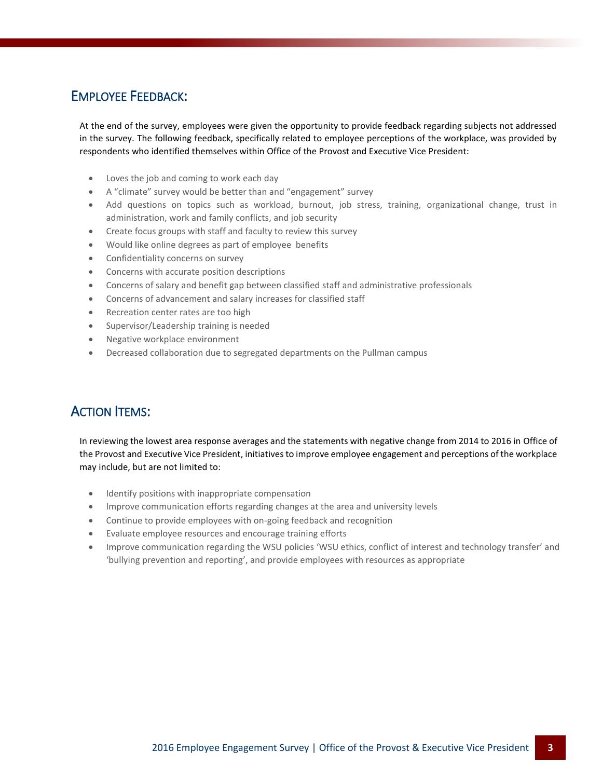#### EMPLOYEE FEEDBACK:

At the end of the survey, employees were given the opportunity to provide feedback regarding subjects not addressed in the survey. The following feedback, specifically related to employee perceptions of the workplace, was provided by respondents who identified themselves within Office of the Provost and Executive Vice President:

- Loves the job and coming to work each day
- A "climate" survey would be better than and "engagement" survey
- Add questions on topics such as workload, burnout, job stress, training, organizational change, trust in administration, work and family conflicts, and job security
- Create focus groups with staff and faculty to review this survey
- Would like online degrees as part of employee benefits
- Confidentiality concerns on survey
- Concerns with accurate position descriptions
- Concerns of salary and benefit gap between classified staff and administrative professionals
- Concerns of advancement and salary increases for classified staff
- Recreation center rates are too high
- Supervisor/Leadership training is needed
- Negative workplace environment
- Decreased collaboration due to segregated departments on the Pullman campus

#### ACTION ITEMS:

In reviewing the lowest area response averages and the statements with negative change from 2014 to 2016 in Office of the Provost and Executive Vice President, initiatives to improve employee engagement and perceptions of the workplace may include, but are not limited to:

- Identify positions with inappropriate compensation
- Improve communication efforts regarding changes at the area and university levels
- Continue to provide employees with on-going feedback and recognition
- Evaluate employee resources and encourage training efforts
- Improve communication regarding the WSU policies 'WSU ethics, conflict of interest and technology transfer' and 'bullying prevention and reporting', and provide employees with resources as appropriate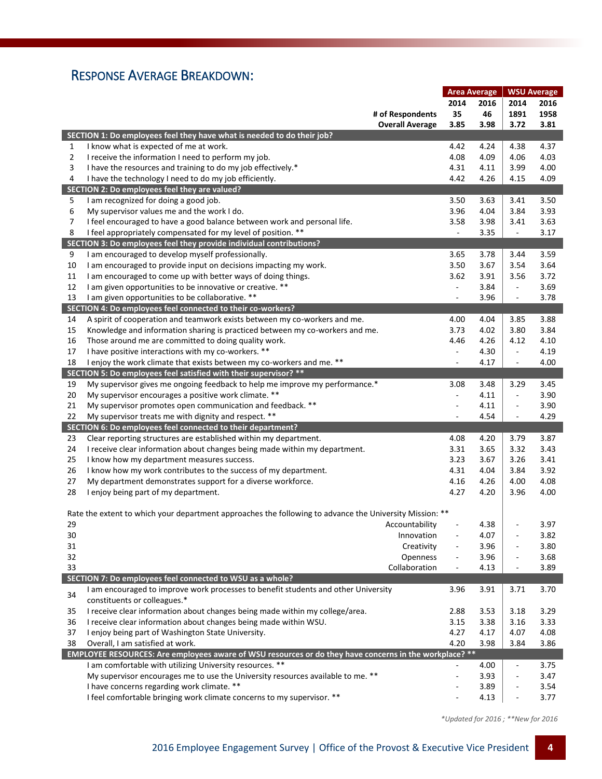## RESPONSE AVERAGE BREAKDOWN:

|                |                                                                                                         | <b>Area Average</b>      |      | <b>WSU Average</b>           |      |
|----------------|---------------------------------------------------------------------------------------------------------|--------------------------|------|------------------------------|------|
|                |                                                                                                         | 2014                     | 2016 | 2014                         | 2016 |
|                | # of Respondents                                                                                        | 35                       | 46   | 1891                         | 1958 |
|                | <b>Overall Average</b>                                                                                  | 3.85                     | 3.98 | 3.72                         | 3.81 |
|                | SECTION 1: Do employees feel they have what is needed to do their job?                                  |                          |      |                              |      |
| 1              | I know what is expected of me at work.                                                                  | 4.42                     | 4.24 | 4.38                         | 4.37 |
| $\overline{2}$ | I receive the information I need to perform my job.                                                     | 4.08                     | 4.09 | 4.06                         | 4.03 |
| 3              | I have the resources and training to do my job effectively.*                                            | 4.31                     | 4.11 | 3.99                         | 4.00 |
| 4              | I have the technology I need to do my job efficiently.                                                  | 4.42                     | 4.26 | 4.15                         | 4.09 |
|                | SECTION 2: Do employees feel they are valued?                                                           |                          |      |                              |      |
| 5              | I am recognized for doing a good job.                                                                   | 3.50                     | 3.63 | 3.41                         | 3.50 |
| 6              | My supervisor values me and the work I do.                                                              | 3.96                     | 4.04 | 3.84                         | 3.93 |
| 7              | I feel encouraged to have a good balance between work and personal life.                                | 3.58                     | 3.98 | 3.41                         | 3.63 |
| 8              | I feel appropriately compensated for my level of position. **                                           | $\overline{\phantom{a}}$ | 3.35 | $\overline{\phantom{a}}$     | 3.17 |
|                | SECTION 3: Do employees feel they provide individual contributions?                                     |                          |      |                              |      |
| 9              | I am encouraged to develop myself professionally.                                                       | 3.65                     | 3.78 | 3.44                         | 3.59 |
| 10             | I am encouraged to provide input on decisions impacting my work.                                        | 3.50                     | 3.67 | 3.54                         | 3.64 |
| 11             | I am encouraged to come up with better ways of doing things.                                            | 3.62                     | 3.91 | 3.56                         | 3.72 |
| 12             | I am given opportunities to be innovative or creative. **                                               | $\overline{\phantom{a}}$ | 3.84 | $\overline{\phantom{a}}$     | 3.69 |
| 13             | I am given opportunities to be collaborative. **                                                        | $\overline{\phantom{a}}$ | 3.96 | $\overline{\phantom{a}}$     | 3.78 |
|                | SECTION 4: Do employees feel connected to their co-workers?                                             |                          |      |                              |      |
| 14             | A spirit of cooperation and teamwork exists between my co-workers and me.                               | 4.00                     | 4.04 | 3.85                         | 3.88 |
| 15             | Knowledge and information sharing is practiced between my co-workers and me.                            | 3.73                     | 4.02 | 3.80                         | 3.84 |
| 16             | Those around me are committed to doing quality work.                                                    | 4.46                     | 4.26 | 4.12                         | 4.10 |
| 17             | I have positive interactions with my co-workers. **                                                     | $\overline{\phantom{a}}$ | 4.30 | $\overline{\phantom{a}}$     | 4.19 |
| 18             | I enjoy the work climate that exists between my co-workers and me. **                                   |                          | 4.17 | $\qquad \qquad \blacksquare$ | 4.00 |
|                | SECTION 5: Do employees feel satisfied with their supervisor? **                                        |                          |      |                              |      |
| 19             | My supervisor gives me ongoing feedback to help me improve my performance.*                             | 3.08                     | 3.48 | 3.29                         | 3.45 |
| 20             | My supervisor encourages a positive work climate. **                                                    | $\blacksquare$           | 4.11 | $\blacksquare$               | 3.90 |
| 21             | My supervisor promotes open communication and feedback. **                                              | $\overline{a}$           | 4.11 | ÷                            | 3.90 |
| 22             | My supervisor treats me with dignity and respect. **                                                    | ÷,                       | 4.54 | $\blacksquare$               | 4.29 |
|                | SECTION 6: Do employees feel connected to their department?                                             |                          |      |                              |      |
| 23             | Clear reporting structures are established within my department.                                        | 4.08                     | 4.20 | 3.79                         | 3.87 |
| 24             | I receive clear information about changes being made within my department.                              | 3.31                     | 3.65 | 3.32                         | 3.43 |
| 25             | I know how my department measures success.                                                              | 3.23                     | 3.67 | 3.26                         | 3.41 |
| 26             | I know how my work contributes to the success of my department.                                         | 4.31                     | 4.04 | 3.84                         | 3.92 |
| 27             | My department demonstrates support for a diverse workforce.                                             | 4.16                     | 4.26 | 4.00                         | 4.08 |
| 28             | I enjoy being part of my department.                                                                    | 4.27                     | 4.20 | 3.96                         | 4.00 |
|                |                                                                                                         |                          |      |                              |      |
|                | Rate the extent to which your department approaches the following to advance the University Mission: ** |                          |      |                              |      |
| 29             | Accountability                                                                                          |                          | 4.38 |                              | 3.97 |
| 30             | Innovation                                                                                              |                          | 4.07 | ÷                            | 3.82 |
| 31             | Creativity                                                                                              |                          | 3.96 |                              | 3.80 |
| 32             | Openness                                                                                                | $\blacksquare$           | 3.96 | ÷                            | 3.68 |
| 33             | Collaboration                                                                                           | $\blacksquare$           | 4.13 | ÷                            | 3.89 |
|                | SECTION 7: Do employees feel connected to WSU as a whole?                                               |                          |      |                              |      |
| 34             | I am encouraged to improve work processes to benefit students and other University                      | 3.96                     | 3.91 | 3.71                         | 3.70 |
|                | constituents or colleagues.*                                                                            |                          |      |                              |      |
| 35             | I receive clear information about changes being made within my college/area.                            | 2.88                     | 3.53 | 3.18                         | 3.29 |
| 36             | I receive clear information about changes being made within WSU.                                        | 3.15                     | 3.38 | 3.16                         | 3.33 |
| 37             | I enjoy being part of Washington State University.                                                      | 4.27                     | 4.17 | 4.07                         | 4.08 |
| 38             | Overall, I am satisfied at work.                                                                        | 4.20                     | 3.98 | 3.84                         | 3.86 |
|                | EMPLOYEE RESOURCES: Are employees aware of WSU resources or do they have concerns in the workplace? **  |                          |      |                              |      |
|                | I am comfortable with utilizing University resources. **                                                |                          | 4.00 | ÷                            | 3.75 |
|                | My supervisor encourages me to use the University resources available to me. **                         | ÷,                       | 3.93 | ÷,                           | 3.47 |
|                | I have concerns regarding work climate. **                                                              |                          | 3.89 | ÷,                           | 3.54 |
|                | I feel comfortable bringing work climate concerns to my supervisor. **                                  |                          | 4.13 |                              | 3.77 |

 *\*Updated for 2016 ; \*\*New for 2016*